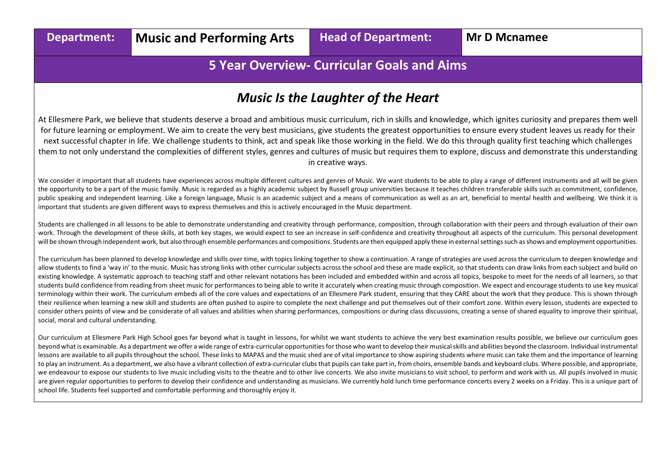# **5 Year Overview- Curricular Goals and Aims**

# *Music Is the Laughter of the Heart*

At Ellesmere Park, we believe that students deserve a broad and ambitious music curriculum, rich in skills and knowledge, which ignites curiosity and prepares them well for future learning or employment. We aim to create the very best musicians, give students the greatest opportunities to ensure every student leaves us ready for their next successful chapter in life. We challenge students to think, act and speak like those working in the field. We do this through quality first teaching which challenges them to not only understand the complexities of different styles, genres and cultures of music but requires them to explore, discuss and demonstrate this understanding in creative ways.

We consider it important that all students have experiences across multiple different cultures and genres of Music. We want students to be able to play a range of different instruments and all will be given the opportunity to be a part of the music family. Music is regarded as a highly academic subject by Russell group universities because it teaches children transferable skills such as commitment, confidence, public speaking and independent learning. Like a foreign language, Music is an academic subject and a means of communication as well as an art, beneficial to mental health and wellbeing. We think it is important that students are given different ways to express themselves and this is actively encouraged in the Music department.

Students are challenged in all lessons to be able to demonstrate understanding and creativity through performance, composition, through collaboration with their peers and through evaluation of their own work. Through the development of these skills, at both key stages, we would expect to see an increase in self-confidence and creativity throughout all aspects of the curriculum. This personal development will be shown through independent work, but also through ensemble performances and compositions. Students are then equipped apply these in external settings such as shows and employment opportunities.

The curriculum has been planned to develop knowledge and skills over time, with topics linking together to show a continuation. A range of strategies are used across the curriculum to deepen knowledge and allow students to find a 'way in' to the music. Music has strong links with other curricular subjects across the school and these are made explicit, so that students can draw links from each subject and build on existing knowledge. A systematic approach to teaching staff and other relevant notations has been included and embedded within and across all topics, bespoke to meet for the needs of all learners, so that students build confidence from reading from sheet music for performances to being able to write it accurately when creating music through composition. We expect and encourage students to use key musical terminology within their work. The curriculum embeds all of the core values and expectations of an Ellesmere Park student, ensuring that they CARE about the work that they produce. This is shown through their resilience when learning a new skill and students are often pushed to aspire to complete the next challenge and put themselves out of their comfort zone. Within every lesson, students are expected to consider others points of view and be considerate of all values and abilities when sharing performances, compositions or during class discussions, creating a sense of shared equality to improve their spiritual, social, moral and cultural understanding.

Our curriculum at Ellesmere Park High School goes far beyond what is taught in lessons, for whilst we want students to achieve the very best examination results possible, we believe our curriculum goes beyond what is examinable. As a department we offer a wide range of extra-curricular opportunities for those who want to develop their musical skills and abilities beyond the classroom. Individual instrumental lessons are available to all pupils throughout the school. These links to MAPAS and the music shed are of vital importance to show aspiring students where music can take them and the importance of learning to play an instrument. As a department, we also have a vibrant collection of extra-curricular clubs that pupils can take part in, from choirs, ensemble bands and keyboard clubs. Where possible, and appropriate, we endeavour to expose our students to live music including visits to the theatre and to other live concerts. We also invite musicians to visit school, to perform and work with us. All pupils involved in music involved in are given regular opportunities to perform to develop their confidence and understanding as musicians. We currently hold lunch time performance concerts every 2 weeks on a Friday. This is a unique part of school life. Students feel supported and comfortable performing and thoroughly enjoy it.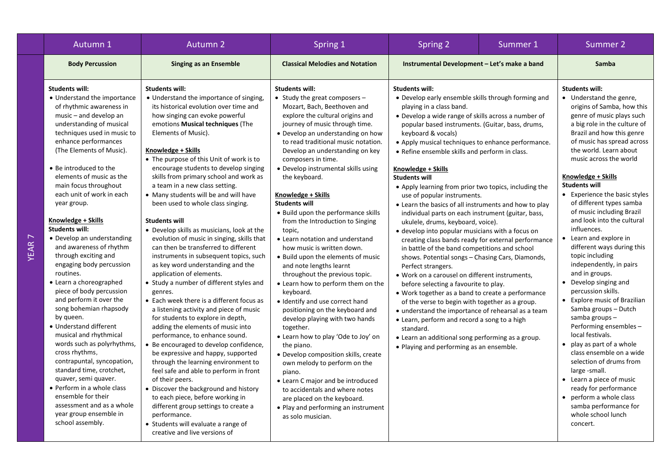| Autumn 1                                                                                                                                                                                                                                                                                                                                                                                                                                                                                                                                                                                                                                                                                                                                                                                                                                                                                                                                                                      | <b>Autumn 2</b>                                                                                                                                                                                                                                                                                                                                                                                                                                                                                                                                                                                                                                                                                                                                                                                                                                                                                                                                                                                                                                                                                                                                                                                                                                                                                                                                                                                                | Spring 1                                                                                                                                                                                                                                                                                                                                                                                                                                                                                                                                                                                                                                                                                                                                                                                                                                                                                                                                                                                                                                                                                                                                           | Spring 2<br>Summer 1                                                                                                                                                                                                                                                                                                                                                                                                                                                                                                                                                                                                                                                                                                                                                                                                                                                                                                                                                                                                                                                                                                                                                                                                                                                                                     |  | Summer 2                                                                                                                                                                                                                                                                                                                                                                                                                                                                                                                                                                                                                                                                                                                                                                                                                                                                                                                                                                              |
|-------------------------------------------------------------------------------------------------------------------------------------------------------------------------------------------------------------------------------------------------------------------------------------------------------------------------------------------------------------------------------------------------------------------------------------------------------------------------------------------------------------------------------------------------------------------------------------------------------------------------------------------------------------------------------------------------------------------------------------------------------------------------------------------------------------------------------------------------------------------------------------------------------------------------------------------------------------------------------|----------------------------------------------------------------------------------------------------------------------------------------------------------------------------------------------------------------------------------------------------------------------------------------------------------------------------------------------------------------------------------------------------------------------------------------------------------------------------------------------------------------------------------------------------------------------------------------------------------------------------------------------------------------------------------------------------------------------------------------------------------------------------------------------------------------------------------------------------------------------------------------------------------------------------------------------------------------------------------------------------------------------------------------------------------------------------------------------------------------------------------------------------------------------------------------------------------------------------------------------------------------------------------------------------------------------------------------------------------------------------------------------------------------|----------------------------------------------------------------------------------------------------------------------------------------------------------------------------------------------------------------------------------------------------------------------------------------------------------------------------------------------------------------------------------------------------------------------------------------------------------------------------------------------------------------------------------------------------------------------------------------------------------------------------------------------------------------------------------------------------------------------------------------------------------------------------------------------------------------------------------------------------------------------------------------------------------------------------------------------------------------------------------------------------------------------------------------------------------------------------------------------------------------------------------------------------|----------------------------------------------------------------------------------------------------------------------------------------------------------------------------------------------------------------------------------------------------------------------------------------------------------------------------------------------------------------------------------------------------------------------------------------------------------------------------------------------------------------------------------------------------------------------------------------------------------------------------------------------------------------------------------------------------------------------------------------------------------------------------------------------------------------------------------------------------------------------------------------------------------------------------------------------------------------------------------------------------------------------------------------------------------------------------------------------------------------------------------------------------------------------------------------------------------------------------------------------------------------------------------------------------------|--|---------------------------------------------------------------------------------------------------------------------------------------------------------------------------------------------------------------------------------------------------------------------------------------------------------------------------------------------------------------------------------------------------------------------------------------------------------------------------------------------------------------------------------------------------------------------------------------------------------------------------------------------------------------------------------------------------------------------------------------------------------------------------------------------------------------------------------------------------------------------------------------------------------------------------------------------------------------------------------------|
| <b>Body Percussion</b>                                                                                                                                                                                                                                                                                                                                                                                                                                                                                                                                                                                                                                                                                                                                                                                                                                                                                                                                                        | <b>Singing as an Ensemble</b>                                                                                                                                                                                                                                                                                                                                                                                                                                                                                                                                                                                                                                                                                                                                                                                                                                                                                                                                                                                                                                                                                                                                                                                                                                                                                                                                                                                  | <b>Classical Melodies and Notation</b>                                                                                                                                                                                                                                                                                                                                                                                                                                                                                                                                                                                                                                                                                                                                                                                                                                                                                                                                                                                                                                                                                                             | Instrumental Development - Let's make a band                                                                                                                                                                                                                                                                                                                                                                                                                                                                                                                                                                                                                                                                                                                                                                                                                                                                                                                                                                                                                                                                                                                                                                                                                                                             |  | Samba                                                                                                                                                                                                                                                                                                                                                                                                                                                                                                                                                                                                                                                                                                                                                                                                                                                                                                                                                                                 |
| <b>Students will:</b><br>• Understand the importance<br>of rhythmic awareness in<br>$music - and develop an$<br>understanding of musical<br>techniques used in music to<br>enhance performances<br>(The Elements of Music).<br>• Be introduced to the<br>elements of music as the<br>main focus throughout<br>each unit of work in each<br>year group.<br>Knowledge + Skills<br><b>Students will:</b><br>• Develop an understanding<br>and awareness of rhythm<br>through exciting and<br>engaging body percussion<br>routines.<br>• Learn a choreographed<br>piece of body percussion<br>and perform it over the<br>song bohemian rhapsody<br>by queen.<br>• Understand different<br>musical and rhythmical<br>words such as polyrhythms,<br>cross rhythms,<br>contrapuntal, syncopation,<br>standard time, crotchet,<br>quaver, semi quaver.<br>• Perform in a whole class<br>ensemble for their<br>assessment and as a whole<br>year group ensemble in<br>school assembly. | <b>Students will:</b><br>• Understand the importance of singing<br>its historical evolution over time and<br>how singing can evoke powerful<br>emotions Musical techniques (The<br>Elements of Music).<br>Knowledge + Skills<br>• The purpose of this Unit of work is to<br>encourage students to develop singing<br>skills from primary school and work as<br>a team in a new class setting.<br>• Many students will be and will have<br>been used to whole class singing.<br><b>Students will</b><br>• Develop skills as musicians, look at the<br>evolution of music in singing, skills that<br>can then be transferred to different<br>instruments in subsequent topics, such<br>as key word understanding and the<br>application of elements.<br>• Study a number of different styles and<br>genres.<br>• Each week there is a different focus as<br>a listening activity and piece of music<br>for students to explore in depth,<br>adding the elements of music into<br>performance, to enhance sound.<br>• Be encouraged to develop confidence,<br>be expressive and happy, supported<br>through the learning environment to<br>feel safe and able to perform in front<br>of their peers.<br>• Discover the background and history<br>to each piece, before working in<br>different group settings to create a<br>performance.<br>• Students will evaluate a range of<br>creative and live versions of | <b>Students will:</b><br>• Study the great composers $-$<br>Mozart, Bach, Beethoven and<br>explore the cultural origins and<br>journey of music through time.<br>• Develop an understanding on how<br>to read traditional music notation.<br>Develop an understanding on key<br>composers in time.<br>• Develop instrumental skills using<br>the keyboard.<br>Knowledge + Skills<br><b>Students will</b><br>• Build upon the performance skills<br>from the Introduction to Singing<br>topic,<br>• Learn notation and understand<br>how music is written down.<br>• Build upon the elements of music<br>and note lengths learnt<br>throughout the previous topic.<br>• Learn how to perform them on the<br>keyboard.<br>• Identify and use correct hand<br>positioning on the keyboard and<br>develop playing with two hands<br>together.<br>• Learn how to play 'Ode to Joy' on<br>the piano.<br>• Develop composition skills, create<br>own melody to perform on the<br>piano.<br>• Learn C major and be introduced<br>to accidentals and where notes<br>are placed on the keyboard.<br>• Play and performing an instrument<br>as solo musician. | <b>Students will:</b><br>• Develop early ensemble skills through forming and<br>playing in a class band.<br>• Develop a wide range of skills across a number of<br>popular based instruments. (Guitar, bass, drums,<br>keyboard & vocals)<br>• Apply musical techniques to enhance performance.<br>• Refine ensemble skills and perform in class.<br>Knowledge + Skills<br><b>Students will</b><br>• Apply learning from prior two topics, including the<br>use of popular instruments.<br>• Learn the basics of all instruments and how to play<br>individual parts on each instrument (guitar, bass,<br>ukulele, drums, keyboard, voice).<br>· develop into popular musicians with a focus on<br>creating class bands ready for external performance<br>in battle of the band competitions and school<br>shows. Potential songs - Chasing Cars, Diamonds,<br>Perfect strangers.<br>· Work on a carousel on different instruments,<br>before selecting a favourite to play.<br>• Work together as a band to create a performance<br>of the verse to begin with together as a group.<br>• understand the importance of rehearsal as a team<br>• Learn, perform and record a song to a high<br>standard.<br>• Learn an additional song performing as a group.<br>• Playing and performing as an ensemble. |  | Students will:<br>• Understand the genre,<br>origins of Samba, how this<br>genre of music plays such<br>a big role in the culture of<br>Brazil and how this genre<br>of music has spread across<br>the world. Learn about<br>music across the world<br>Knowledge + Skills<br><b>Students will</b><br>• Experience the basic styles<br>of different types samba<br>of music including Brazil<br>and look into the cultural<br>influences.<br>• Learn and explore in<br>different ways during this<br>topic including<br>independently, in pairs<br>and in groups.<br>• Develop singing and<br>percussion skills.<br>• Explore music of Brazilian<br>Samba groups - Dutch<br>samba groups-<br>Performing ensembles-<br>local festivals.<br>• play as part of a whole<br>class ensemble on a wide<br>selection of drums from<br>large -small.<br>• Learn a piece of music<br>ready for performance<br>• perform a whole class<br>samba performance for<br>whole school lunch<br>concert. |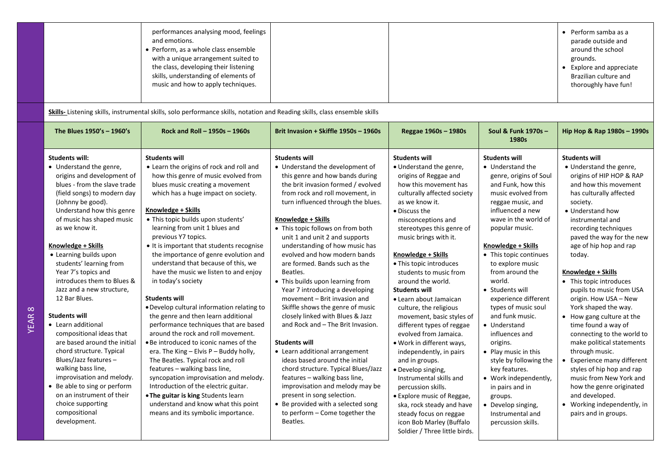|  | performances analysing mood, feelings<br>and emotions.<br>• Perform, as a whole class ensemble<br>with a unique arrangement suited to<br>the class, developing their listening<br>skills, understanding of elements of<br>music and how to apply techniques. |  |  | Perform samba as a<br>parade outside and<br>around the school<br>grounds.<br>Explore and appreciate<br>Brazilian culture and<br>thoroughly have fun! |
|--|--------------------------------------------------------------------------------------------------------------------------------------------------------------------------------------------------------------------------------------------------------------|--|--|------------------------------------------------------------------------------------------------------------------------------------------------------|
|--|--------------------------------------------------------------------------------------------------------------------------------------------------------------------------------------------------------------------------------------------------------------|--|--|------------------------------------------------------------------------------------------------------------------------------------------------------|

**Skills-** Listening skills, instrumental skills, solo performance skills, notation and Reading skills, class ensemble skills

YEAR 8

| The Blues 1950's - 1960's                                                                                                                                                                                                                                                                                                                                                                                                                                                                                                                                                                                                                                                                                                        | Rock and Roll - 1950s - 1960s                                                                                                                                                                                                                                                                                                                                                                                                                                                                                                                                                                                                                                                                                                                                                                                                                                                                                                                                                                                                 | Brit Invasion + Skiffle 1950s - 1960s                                                                                                                                                                                                                                                                                                                                                                                                                                                                                                                                                                                                                                                                                                                                                                                                                                                                                | Reggae 1960s - 1980s                                                                                                                                                                                                                                                                                                                                                                                                                                                                                                                                                                                                                                                                                                       | Soul & Funk 1970s -<br>1980s                                                                                                                                                                                                                                                                                                                                                                                                                                                                                                                                                          | Hip Hop & Rap 1980s - 1990s                                                                                                                                                                                                                                                                                                                                                                                                                                                                                                                                                                                                                                                                                   |
|----------------------------------------------------------------------------------------------------------------------------------------------------------------------------------------------------------------------------------------------------------------------------------------------------------------------------------------------------------------------------------------------------------------------------------------------------------------------------------------------------------------------------------------------------------------------------------------------------------------------------------------------------------------------------------------------------------------------------------|-------------------------------------------------------------------------------------------------------------------------------------------------------------------------------------------------------------------------------------------------------------------------------------------------------------------------------------------------------------------------------------------------------------------------------------------------------------------------------------------------------------------------------------------------------------------------------------------------------------------------------------------------------------------------------------------------------------------------------------------------------------------------------------------------------------------------------------------------------------------------------------------------------------------------------------------------------------------------------------------------------------------------------|----------------------------------------------------------------------------------------------------------------------------------------------------------------------------------------------------------------------------------------------------------------------------------------------------------------------------------------------------------------------------------------------------------------------------------------------------------------------------------------------------------------------------------------------------------------------------------------------------------------------------------------------------------------------------------------------------------------------------------------------------------------------------------------------------------------------------------------------------------------------------------------------------------------------|----------------------------------------------------------------------------------------------------------------------------------------------------------------------------------------------------------------------------------------------------------------------------------------------------------------------------------------------------------------------------------------------------------------------------------------------------------------------------------------------------------------------------------------------------------------------------------------------------------------------------------------------------------------------------------------------------------------------------|---------------------------------------------------------------------------------------------------------------------------------------------------------------------------------------------------------------------------------------------------------------------------------------------------------------------------------------------------------------------------------------------------------------------------------------------------------------------------------------------------------------------------------------------------------------------------------------|---------------------------------------------------------------------------------------------------------------------------------------------------------------------------------------------------------------------------------------------------------------------------------------------------------------------------------------------------------------------------------------------------------------------------------------------------------------------------------------------------------------------------------------------------------------------------------------------------------------------------------------------------------------------------------------------------------------|
| <b>Students will:</b><br>• Understand the genre,<br>origins and development of<br>blues - from the slave trade<br>(field songs) to modern day<br>(Johnny be good).<br>Understand how this genre<br>of music has shaped music<br>as we know it.<br>Knowledge + Skills<br>• Learning builds upon<br>students' learning from<br>Year 7's topics and<br>introduces them to Blues &<br>Jazz and a new structure,<br>12 Bar Blues.<br><b>Students will</b><br>• Learn additional<br>compositional ideas that<br>are based around the initial<br>chord structure. Typical<br>Blues/Jazz features -<br>walking bass line,<br>improvisation and melody.<br>• Be able to sing or perform<br>on an instrument of their<br>choice supporting | <b>Students will</b><br>• Learn the origins of rock and roll and<br>how this genre of music evolved from<br>blues music creating a movement<br>which has a huge impact on society.<br>Knowledge + Skills<br>· This topic builds upon students'<br>learning from unit 1 blues and<br>previous Y7 topics.<br>• It is important that students recognise<br>the importance of genre evolution and<br>understand that because of this, we<br>have the music we listen to and enjoy<br>in today's society<br><b>Students will</b><br>. Develop cultural information relating to<br>the genre and then learn additional<br>performance techniques that are based<br>around the rock and roll movement.<br>• Be introduced to iconic names of the<br>era. The King $-$ Elvis P $-$ Buddy holly,<br>The Beatles. Typical rock and roll<br>features - walking bass line,<br>syncopation improvisation and melody.<br>Introduction of the electric guitar.<br>. The guitar is king Students learn<br>understand and know what this point | <b>Students will</b><br>• Understand the development of<br>this genre and how bands during<br>the brit invasion formed / evolved<br>from rock and roll movement, in<br>turn influenced through the blues.<br>Knowledge + Skills<br>• This topic follows on from both<br>unit 1 and unit 2 and supports<br>understanding of how music has<br>evolved and how modern bands<br>are formed. Bands such as the<br>Beatles.<br>• This builds upon learning from<br>Year 7 introducing a developing<br>movement - Brit invasion and<br>Skiffle shows the genre of music<br>closely linked with Blues & Jazz<br>and Rock and - The Brit Invasion.<br><b>Students will</b><br>• Learn additional arrangement<br>ideas based around the initial<br>chord structure. Typical Blues/Jazz<br>features - walking bass line,<br>improvisation and melody may be<br>present in song selection.<br>• Be provided with a selected song | <b>Students will</b><br>• Understand the genre,<br>origins of Reggae and<br>how this movement has<br>culturally affected society<br>as we know it.<br>• Discuss the<br>misconceptions and<br>stereotypes this genre of<br>music brings with it.<br>Knowledge + Skills<br>• This topic introduces<br>students to music from<br>around the world.<br><b>Students will</b><br>• Learn about Jamaican<br>culture, the religious<br>movement, basic styles of<br>different types of reggae<br>evolved from Jamaica.<br>• Work in different ways,<br>independently, in pairs<br>and in groups.<br>• Develop singing,<br>Instrumental skills and<br>percussion skills.<br>• Explore music of Reggae,<br>ska, rock steady and have | <b>Students will</b><br>• Understand the<br>genre, origins of Soul<br>and Funk, how this<br>music evolved from<br>reggae music, and<br>influenced a new<br>wave in the world of<br>popular music.<br>Knowledge + Skills<br>• This topic continues<br>to explore music<br>from around the<br>world.<br>• Students will<br>experience different<br>types of music soul<br>and funk music.<br>• Understand<br>influences and<br>origins.<br>• Play music in this<br>style by following the<br>key features.<br>• Work independently,<br>in pairs and in<br>groups.<br>• Develop singing, | <b>Students will</b><br>• Understand the genre,<br>origins of HIP HOP & RAP<br>and how this movement<br>has culturally affected<br>society.<br>• Understand how<br>instrumental and<br>recording techniques<br>paved the way for the new<br>age of hip hop and rap<br>today.<br>Knowledge + Skills<br>• This topic introduces<br>pupils to music from USA<br>origin. How USA - New<br>York shaped the way.<br>• How gang culture at the<br>time found a way of<br>connecting to the world to<br>make political statements<br>through music.<br>Experience many different<br>styles of hip hop and rap<br>music from New York and<br>how the genre originated<br>and developed.<br>• Working independently, in |
| compositional<br>development.                                                                                                                                                                                                                                                                                                                                                                                                                                                                                                                                                                                                                                                                                                    | means and its symbolic importance.                                                                                                                                                                                                                                                                                                                                                                                                                                                                                                                                                                                                                                                                                                                                                                                                                                                                                                                                                                                            | to perform – Come together the<br>Beatles.                                                                                                                                                                                                                                                                                                                                                                                                                                                                                                                                                                                                                                                                                                                                                                                                                                                                           | steady focus on reggae<br>icon Bob Marley (Buffalo<br>Soldier / Three little birds.                                                                                                                                                                                                                                                                                                                                                                                                                                                                                                                                                                                                                                        | Instrumental and<br>percussion skills.                                                                                                                                                                                                                                                                                                                                                                                                                                                                                                                                                | pairs and in groups.                                                                                                                                                                                                                                                                                                                                                                                                                                                                                                                                                                                                                                                                                          |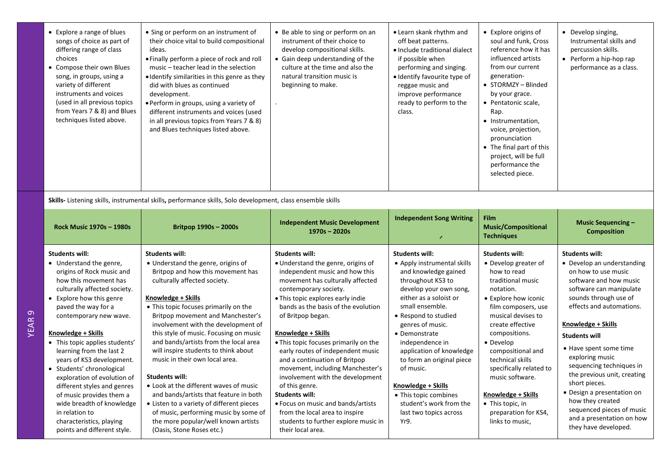| • Explore a range of blues<br>songs of choice as part of<br>differing range of class<br>choices<br>• Compose their own Blues<br>song, in groups, using a<br>variety of different<br>instruments and voices<br>(used in all previous topics<br>from Years 7 & 8) and Blues<br>techniques listed above.                                                                                                                                                                                                                                                                 | • Sing or perform on an instrument of<br>their choice vital to build compositional<br>ideas.<br>• Finally perform a piece of rock and roll<br>music - teacher lead in the selection<br>• Identify similarities in this genre as they<br>did with blues as continued<br>development.<br>• Perform in groups, using a variety of<br>different instruments and voices (used<br>in all previous topics from Years 7 & 8)<br>and Blues techniques listed above.                                                                                                                                                                                                                  | • Be able to sing or perform on an<br>instrument of their choice to<br>develop compositional skills.<br>• Gain deep understanding of the<br>culture at the time and also the<br>natural transition music is<br>beginning to make.                                                                                                                                                                                                                                                                                                                                                                                                   | • Learn skank rhythm and<br>off beat patterns.<br>• Include traditional dialect<br>if possible when<br>performing and singing.<br>· Identify favourite type of<br>reggae music and<br>improve performance<br>ready to perform to the<br>class.                                                                                                                                                                                             | • Explore origins of<br>soul and funk, Cross<br>reference how it has<br>influenced artists<br>from our current<br>generation-<br>• STORMZY - Blinded<br>by your grace.<br>• Pentatonic scale,<br>Rap.<br>• Instrumentation,<br>voice, projection,<br>pronunciation<br>• The final part of this<br>project, will be full<br>performance the<br>selected piece.                                     | • Develop singing,<br>Instrumental skills and<br>percussion skills.<br>• Perform a hip-hop rap<br>performance as a class.                                                                                                                                                                                                                                                                                                                                               |  |  |
|-----------------------------------------------------------------------------------------------------------------------------------------------------------------------------------------------------------------------------------------------------------------------------------------------------------------------------------------------------------------------------------------------------------------------------------------------------------------------------------------------------------------------------------------------------------------------|-----------------------------------------------------------------------------------------------------------------------------------------------------------------------------------------------------------------------------------------------------------------------------------------------------------------------------------------------------------------------------------------------------------------------------------------------------------------------------------------------------------------------------------------------------------------------------------------------------------------------------------------------------------------------------|-------------------------------------------------------------------------------------------------------------------------------------------------------------------------------------------------------------------------------------------------------------------------------------------------------------------------------------------------------------------------------------------------------------------------------------------------------------------------------------------------------------------------------------------------------------------------------------------------------------------------------------|--------------------------------------------------------------------------------------------------------------------------------------------------------------------------------------------------------------------------------------------------------------------------------------------------------------------------------------------------------------------------------------------------------------------------------------------|---------------------------------------------------------------------------------------------------------------------------------------------------------------------------------------------------------------------------------------------------------------------------------------------------------------------------------------------------------------------------------------------------|-------------------------------------------------------------------------------------------------------------------------------------------------------------------------------------------------------------------------------------------------------------------------------------------------------------------------------------------------------------------------------------------------------------------------------------------------------------------------|--|--|
| Skills- Listening skills, instrumental skills, performance skills, Solo development, class ensemble skills                                                                                                                                                                                                                                                                                                                                                                                                                                                            |                                                                                                                                                                                                                                                                                                                                                                                                                                                                                                                                                                                                                                                                             |                                                                                                                                                                                                                                                                                                                                                                                                                                                                                                                                                                                                                                     |                                                                                                                                                                                                                                                                                                                                                                                                                                            |                                                                                                                                                                                                                                                                                                                                                                                                   |                                                                                                                                                                                                                                                                                                                                                                                                                                                                         |  |  |
| Rock Music 1970s - 1980s                                                                                                                                                                                                                                                                                                                                                                                                                                                                                                                                              | Britpop 1990s - 2000s                                                                                                                                                                                                                                                                                                                                                                                                                                                                                                                                                                                                                                                       | <b>Independent Music Development</b><br>$1970s - 2020s$                                                                                                                                                                                                                                                                                                                                                                                                                                                                                                                                                                             | <b>Independent Song Writing</b>                                                                                                                                                                                                                                                                                                                                                                                                            | <b>Film</b><br><b>Music/Compositional</b><br><b>Techniques</b>                                                                                                                                                                                                                                                                                                                                    | <b>Music Sequencing -</b><br><b>Composition</b>                                                                                                                                                                                                                                                                                                                                                                                                                         |  |  |
| <b>Students will:</b><br>• Understand the genre,<br>origins of Rock music and<br>how this movement has<br>culturally affected society.<br>• Explore how this genre<br>paved the way for a<br>contemporary new wave.<br>Knowledge + Skills<br>• This topic applies students'<br>learning from the last 2<br>years of KS3 development.<br>• Students' chronological<br>exploration of evolution of<br>different styles and genres<br>of music provides them a<br>wide breadth of knowledge<br>in relation to<br>characteristics, playing<br>points and different style. | <b>Students will:</b><br>• Understand the genre, origins of<br>Britpop and how this movement has<br>culturally affected society.<br>Knowledge + Skills<br>• This topic focuses primarily on the<br>Britpop movement and Manchester's<br>involvement with the development of<br>this style of music. Focusing on music<br>and bands/artists from the local area<br>will inspire students to think about<br>music in their own local area.<br>Students will:<br>• Look at the different waves of music<br>and bands/artists that feature in both<br>• Listen to a variety of different pieces<br>of music, performing music by some of<br>the more popular/well known artists | <b>Students will:</b><br>· Understand the genre, origins of<br>independent music and how this<br>movement has culturally affected<br>contemporary society.<br>• This topic explores early indie<br>bands as the basis of the evolution<br>of Britpop began.<br>Knowledge + Skills<br>. This topic focuses primarily on the<br>early routes of independent music<br>and a continuation of Britpop<br>movement, including Manchester's<br>involvement with the development<br>of this genre.<br><b>Students will:</b><br>• Focus on music and bands/artists<br>from the local area to inspire<br>students to further explore music in | <b>Students will:</b><br>• Apply instrumental skills<br>and knowledge gained<br>throughout KS3 to<br>develop your own song,<br>either as a soloist or<br>small ensemble.<br>• Respond to studied<br>genres of music.<br>• Demonstrate<br>independence in<br>application of knowledge<br>to form an original piece<br>of music.<br>Knowledge + Skills<br>• This topic combines<br>student's work from the<br>last two topics across<br>Yr9. | <b>Students will:</b><br>• Develop greater of<br>how to read<br>traditional music<br>notation.<br>• Explore how iconic<br>film composers, use<br>musical devises to<br>create effective<br>compositions.<br>• Develop<br>compositional and<br>technical skills<br>specifically related to<br>music software.<br>Knowledge + Skills<br>• This topic, in<br>preparation for KS4,<br>links to music, | <b>Students will:</b><br>• Develop an understanding<br>on how to use music<br>software and how music<br>software can manipulate<br>sounds through use of<br>effects and automations.<br>Knowledge + Skills<br><b>Students will</b><br>• Have spent some time<br>exploring music<br>sequencing techniques in<br>the previous unit, creating<br>short pieces.<br>• Design a presentation on<br>how they created<br>sequenced pieces of music<br>and a presentation on how |  |  |

YEAR 9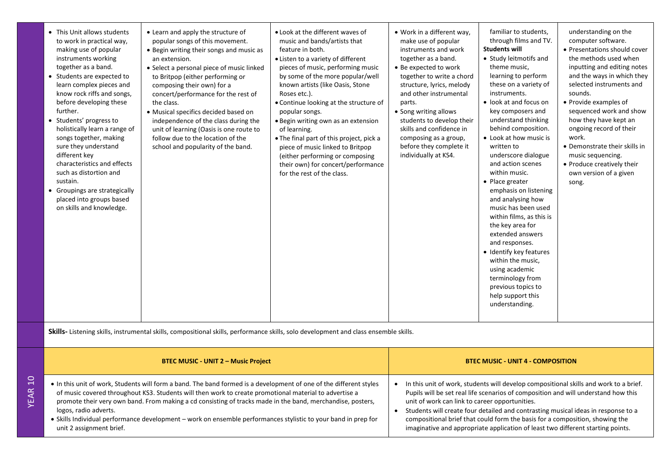| - |  |
|---|--|
| ÷ |  |
| m |  |
| ⊲ |  |
| ш |  |
|   |  |

- In this unit of work, Students will form a band. The band formed is a development of one of the different styles of music covered throughout KS3. Students will then work to create promotional material to advertise a promote their very own band. From making a cd consisting of tracks made in the band, merchandise, posters, logos, radio adverts.
- Skills Individual performance development work on ensemble performances stylistic to your band in prep for unit 2 assignment brief.
- In this unit of work, students will develop compositional skills and work to a brief. Pupils will be set real life scenarios of composition and will understand how this unit of work can link to career opportunities. • Students will create four detailed and contrasting musical ideas in response to a
- compositional brief that could form the basis for a composition, showing the imaginative and appropriate application of least two different starting points.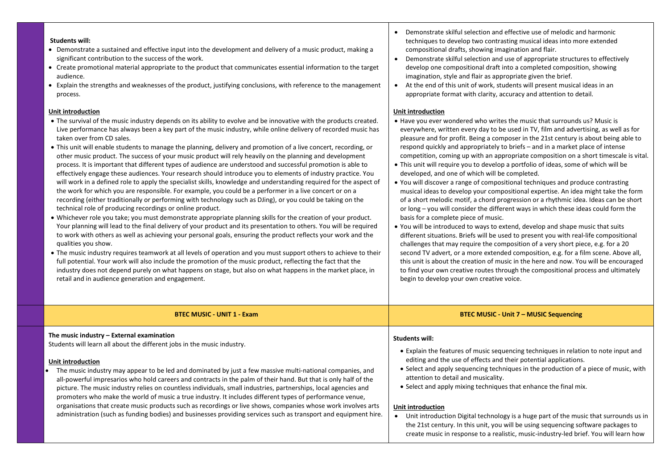### **Students will:**

- Demonstrate a sustained and effective input into the development and delivery of a music product, making a significant contribution to the success of the work.
- Create promotional material appropriate to the product that communicates essential information to the target audience.
- Explain the strengths and weaknesses of the product, justifying conclusions, with reference to the management process.

### **Unit introduction**

- The survival of the music industry depends on its ability to evolve and be innovative with the products created. Live performance has always been a key part of the music industry, while online delivery of recorded music has taken over from CD sales.
- This unit will enable students to manage the planning, delivery and promotion of a live concert, recording, or other music product. The success of your music product will rely heavily on the planning and development process. It is important that different types of audience are understood and successful promotion is able to effectively engage these audiences. Your research should introduce you to elements of industry practice. You will work in a defined role to apply the specialist skills, knowledge and understanding required for the aspect of the work for which you are responsible. For example, you could be a performer in a live concert or on a recording (either traditionally or performing with technology such as DJing), or you could be taking on the technical role of producing recordings or online product.
- Whichever role you take; you must demonstrate appropriate planning skills for the creation of your product. Your planning will lead to the final delivery of your product and its presentation to others. You will be required to work with others as well as achieving your personal goals, ensuring the product reflects your work and the qualities you show.
- The music industry requires teamwork at all levels of operation and you must support others to achieve to their full potential. Your work will also include the promotion of the music product, reflecting the fact that the industry does not depend purely on what happens on stage, but also on what happens in the market place, in retail and in audience generation and engagement.
- Demonstrate skilful selection and effective use of melodic and harmonic techniques to develop two contrasting musical ideas into more extended compositional drafts, showing imagination and flair.
- Demonstrate skilful selection and use of appropriate structures to effectively develop one compositional draft into a completed composition, showing imagination, style and flair as appropriate given the brief.
- At the end of this unit of work, students will present musical ideas in an appropriate format with clarity, accuracy and attention to detail.

### **Unit introduction**

- Have you ever wondered who writes the music that surrounds us? Music is everywhere, written every day to be used in TV, film and advertising, as well as for pleasure and for profit. Being a composer in the 21st century is about being able to respond quickly and appropriately to briefs – and in a market place of intense competition, coming up with an appropriate composition on a short timescale is vital.
- This unit will require you to develop a portfolio of ideas, some of which will be developed, and one of which will be completed.
- You will discover a range of compositional techniques and produce contrasting musical ideas to develop your compositional expertise. An idea might take the form of a short melodic motif, a chord progression or a rhythmic idea. Ideas can be short or long – you will consider the different ways in which these ideas could form the basis for a complete piece of music.
- You will be introduced to ways to extend, develop and shape music that suits different situations. Briefs will be used to present you with real-life compositional challenges that may require the composition of a very short piece, e.g. for a 20 second TV advert, or a more extended composition, e.g. for a film scene. Above all, this unit is about the creation of music in the here and now. You will be encouraged to find your own creative routes through the compositional process and ultimately begin to develop your own creative voice.

### **BTEC MUSIC - UNIT 1 - Exam BTEC MUSIC - Unit 7 – MUSIC Sequencing The music industry – External examination**  Students will learn all about the different jobs in the music industry. **Students will:** • Explain the features of music sequencing techniques in relation to note input and

- **Unit introduction**
- The music industry may appear to be led and dominated by just a few massive multi-national companies, and all-powerful impresarios who hold careers and contracts in the palm of their hand. But that is only half of the picture. The music industry relies on countless individuals, small industries, partnerships, local agencies and promoters who make the world of music a true industry. It includes different types of performance venue, organisations that create music products such as recordings or live shows, companies whose work involves arts administration (such as funding bodies) and businesses providing services such as transport and equipment hire.
- editing and the use of effects and their potential applications.
- Select and apply sequencing techniques in the production of a piece of music, with attention to detail and musicality.
- Select and apply mixing techniques that enhance the final mix.

### **Unit introduction**

• Unit introduction Digital technology is a huge part of the music that surrounds us in the 21st century. In this unit, you will be using sequencing software packages to create music in response to a realistic, music-industry-led brief. You will learn how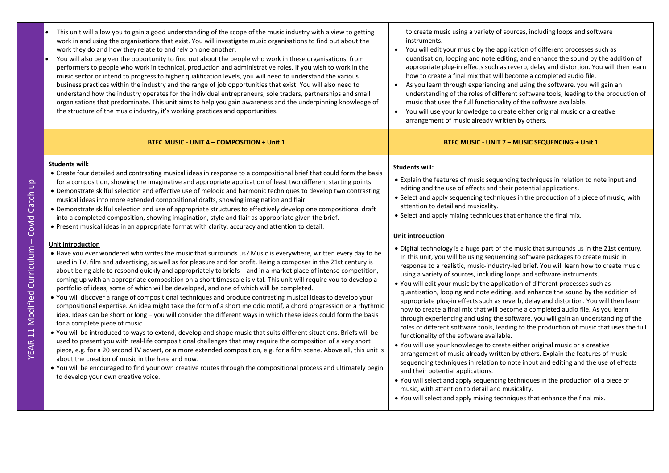- This unit will allow you to gain a good understanding of the scope of the music industry with a view to getting work in and using the organisations that exist. You will investigate music organisations to find out about the work they do and how they relate to and rely on one another.
- You will also be given the opportunity to find out about the people who work in these organisations, from performers to people who work in technical, production and administrative roles. If you wish to work in the music sector or intend to progress to higher qualification levels, you will need to understand the various business practices within the industry and the range of job opportunities that exist. You will also need to understand how the industry operates for the individual entrepreneurs, sole traders, partnerships and small organisations that predominate. This unit aims to help you gain awareness and the underpinning knowledge of the structure of the music industry, it's working practices and opportunities.

### **Students will:**

- Create four detailed and contrasting musical ideas in response to a compositional brief that could form the basis for a composition, showing the imaginative and appropriate application of least two different starting points.
- Demonstrate skilful selection and effective use of melodic and harmonic techniques to develop two contrasting musical ideas into more extended compositional drafts, showing imagination and flair.
- Demonstrate skilful selection and use of appropriate structures to effectively develop one compositional draft into a completed composition, showing imagination, style and flair as appropriate given the brief.
- Present musical ideas in an appropriate format with clarity, accuracy and attention to detail.

### **Unit introduction**

- Have you ever wondered who writes the music that surrounds us? Music is everywhere, written every day to be used in TV, film and advertising, as well as for pleasure and for profit. Being a composer in the 21st century is about being able to respond quickly and appropriately to briefs – and in a market place of intense competition, coming up with an appropriate composition on a short timescale is vital. This unit will require you to develop a portfolio of ideas, some of which will be developed, and one of which will be completed.
- You will discover a range of compositional techniques and produce contrasting musical ideas to develop your compositional expertise. An idea might take the form of a short melodic motif, a chord progression or a rhythmic idea. Ideas can be short or long – you will consider the different ways in which these ideas could form the basis for a complete piece of music.
- You will be introduced to ways to extend, develop and shape music that suits different situations. Briefs will be used to present you with real-life compositional challenges that may require the composition of a very short piece, e.g. for a 20 second TV advert, or a more extended composition, e.g. for a film scene. Above all, this unit is about the creation of music in the here and now.
- You will be encouraged to find your own creative routes through the compositional process and ultimately begin to develop your own creative voice.

to create music using a variety of sources, including loops and software instruments.

- You will edit your music by the application of different processes such as quantisation, looping and note editing, and enhance the sound by the addition of appropriate plug-in effects such as reverb, delay and distortion. You will then learn how to create a final mix that will become a completed audio file.
- As you learn through experiencing and using the software, you will gain an understanding of the roles of different software tools, leading to the production of music that uses the full functionality of the software available.
- You will use your knowledge to create either original music or a creative arrangement of music already written by others.

### **BTEC MUSIC - UNIT 4 – COMPOSITION + Unit 1 BTEC MUSIC - UNIT 7 – MUSIC SEQUENCING + Unit 1**

### **Students will:**

- Explain the features of music sequencing techniques in relation to note input and editing and the use of effects and their potential applications.
- Select and apply sequencing techniques in the production of a piece of music, with attention to detail and musicality.
- Select and apply mixing techniques that enhance the final mix.

### **Unit introduction**

- Digital technology is a huge part of the music that surrounds us in the 21st century. In this unit, you will be using sequencing software packages to create music in response to a realistic, music-industry-led brief. You will learn how to create music using a variety of sources, including loops and software instruments.
- You will edit your music by the application of different processes such as quantisation, looping and note editing, and enhance the sound by the addition of appropriate plug-in effects such as reverb, delay and distortion. You will then learn how to create a final mix that will become a completed audio file. As you learn through experiencing and using the software, you will gain an understanding of the roles of different software tools, leading to the production of music that uses the full functionality of the software available.
- You will use your knowledge to create either original music or a creative arrangement of music already written by others. Explain the features of music sequencing techniques in relation to note input and editing and the use of effects and their potential applications.
- You will select and apply sequencing techniques in the production of a piece of music, with attention to detail and musicality.
- You will select and apply mixing techniques that enhance the final mix.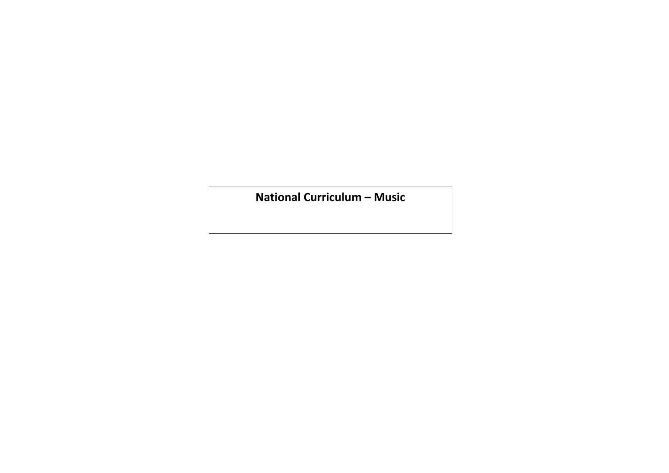**National Curriculum – Music**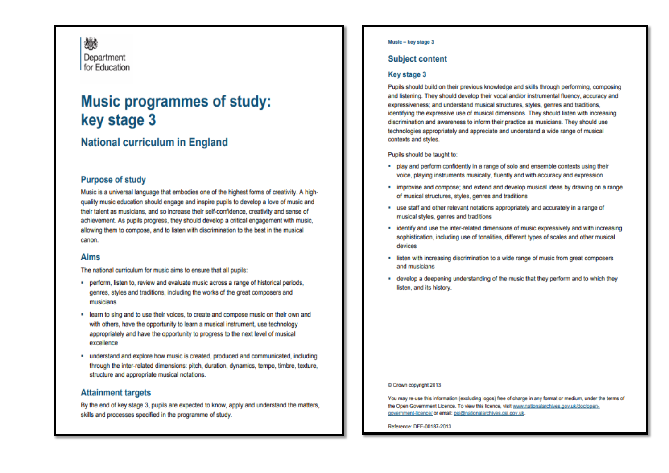戀 Department for Education

# **Music programmes of study:** key stage 3

## **National curriculum in England**

### **Purpose of study**

Music is a universal language that embodies one of the highest forms of creativity. A highquality music education should engage and inspire pupils to develop a love of music and their talent as musicians, and so increase their self-confidence, creativity and sense of achievement. As pupils progress, they should develop a critical engagement with music, allowing them to compose, and to listen with discrimination to the best in the musical canon

### **Aims**

The national curriculum for music aims to ensure that all pupils:

- perform, listen to, review and evaluate music across a range of historical periods, genres, styles and traditions, including the works of the great composers and musicians
- . learn to sing and to use their voices, to create and compose music on their own and with others, have the opportunity to learn a musical instrument, use technology appropriately and have the opportunity to progress to the next level of musical excellence
- " understand and explore how music is created, produced and communicated, including through the inter-related dimensions: pitch, duration, dynamics, tempo, timbre, texture, structure and appropriate musical notations.

### **Attainment targets**

By the end of key stage 3, pupils are expected to know, apply and understand the matters, skills and processes specified in the programme of study.

### Music - key stage 3

### **Subject content**

### Key stage 3

Pupils should build on their previous knowledge and skills through performing, composing and listening. They should develop their vocal and/or instrumental fluency, accuracy and expressiveness: and understand musical structures, styles, genres and traditions. identifying the expressive use of musical dimensions. They should listen with increasing discrimination and awareness to inform their practice as musicians. They should use technologies appropriately and appreciate and understand a wide range of musical contexts and styles.

### Pupils should be taught to:

- . play and perform confidently in a range of solo and ensemble contexts using their voice, playing instruments musically, fluently and with accuracy and expression
- . improvise and compose; and extend and develop musical ideas by drawing on a range of musical structures, styles, genres and traditions
- " use staff and other relevant notations appropriately and accurately in a range of musical styles, genres and traditions
- identify and use the inter-related dimensions of music expressively and with increasing sophistication, including use of tonalities, different types of scales and other musical devices
- . listen with increasing discrimination to a wide range of music from great composers and musicians
- develop a deepening understanding of the music that they perform and to which they listen, and its history.

### C Crown copyright 2013

You may re-use this information (excluding logos) free of charge in any format or medium, under the terms of the Open Government Licence. To view this licence, visit www.nationalarchives.gov.uk/doc/opengovernment-licence/ or email: psi@nationalarchives.gsi.gov.uk.

Reference: DFE-00187-2013